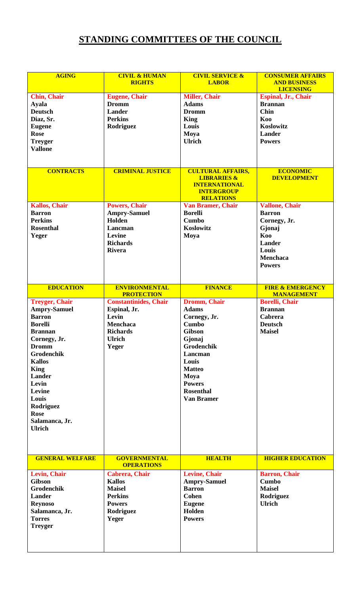## **STANDING COMMITTEES OF THE COUNCIL**

| <b>AGING</b>                                                                                                                                                                                                                                                                                | <b>CIVIL &amp; HUMAN</b><br><b>RIGHTS</b>                                                                             | <b>CIVIL SERVICE &amp;</b><br><b>LABOR</b>                                                                                                                                                                          | <b>CONSUMER AFFAIRS</b><br><b>AND BUSINESS</b><br><b>LICENSING</b>                                                                    |
|---------------------------------------------------------------------------------------------------------------------------------------------------------------------------------------------------------------------------------------------------------------------------------------------|-----------------------------------------------------------------------------------------------------------------------|---------------------------------------------------------------------------------------------------------------------------------------------------------------------------------------------------------------------|---------------------------------------------------------------------------------------------------------------------------------------|
| <b>Chin, Chair</b><br><b>Ayala</b><br><b>Deutsch</b><br>Diaz, Sr.<br><b>Eugene</b><br><b>Rose</b><br><b>Treyger</b><br><b>Vallone</b>                                                                                                                                                       | <b>Eugene</b> , Chair<br><b>Dromm</b><br><b>Lander</b><br><b>Perkins</b><br>Rodriguez                                 | <b>Miller, Chair</b><br><b>Adams</b><br><b>Dromm</b><br><b>King</b><br>Louis<br>Moya<br><b>Ulrich</b>                                                                                                               | Espinal, Jr., Chair<br><b>Brannan</b><br><b>Chin</b><br>Koo<br>Koslowitz<br><b>Lander</b><br><b>Powers</b>                            |
| <b>CONTRACTS</b>                                                                                                                                                                                                                                                                            | <b>CRIMINAL JUSTICE</b>                                                                                               | <b>CULTURAL AFFAIRS,</b><br><b>LIBRARIES &amp;</b><br><b>INTERNATIONAL</b><br><b>INTERGROUP</b><br><b>RELATIONS</b>                                                                                                 | <b>ECONOMIC</b><br><b>DEVELOPMENT</b>                                                                                                 |
| <b>Kallos, Chair</b><br><b>Barron</b><br><b>Perkins</b><br><b>Rosenthal</b><br>Yeger                                                                                                                                                                                                        | <b>Powers, Chair</b><br><b>Ampry-Samuel</b><br>Holden<br>Lancman<br>Levine<br><b>Richards</b><br><b>Rivera</b>        | <b>Van Bramer, Chair</b><br><b>Borelli</b><br><b>Cumbo</b><br>Koslowitz<br>Moya                                                                                                                                     | <b>Vallone, Chair</b><br><b>Barron</b><br>Cornegy, Jr.<br>Gjonaj<br>Koo<br><b>Lander</b><br>Louis<br><b>Menchaca</b><br><b>Powers</b> |
| <b>EDUCATION</b>                                                                                                                                                                                                                                                                            | <b>ENVIRONMENTAL</b><br><b>PROTECTION</b>                                                                             | <b>FINANCE</b>                                                                                                                                                                                                      | <b>FIRE &amp; EMERGENCY</b><br><b>MANAGEMENT</b>                                                                                      |
| <b>Treyger, Chair</b><br><b>Ampry-Samuel</b><br><b>Barron</b><br><b>Borelli</b><br><b>Brannan</b><br>Cornegy, Jr.<br><b>Dromm</b><br>Grodenchik<br><b>Kallos</b><br><b>King</b><br><b>Lander</b><br>Levin<br>Levine<br>Louis<br>Rodriguez<br><b>Rose</b><br>Salamanca, Jr.<br><b>Ulrich</b> | <b>Constantinides, Chair</b><br>Espinal, Jr.<br>Levin<br><b>Menchaca</b><br><b>Richards</b><br><b>Ulrich</b><br>Yeger | <b>Dromm, Chair</b><br><b>Adams</b><br>Cornegy, Jr.<br><b>Cumbo</b><br><b>Gibson</b><br>Gjonaj<br>Grodenchik<br>Lancman<br>Louis<br><b>Matteo</b><br>Moya<br><b>Powers</b><br><b>Rosenthal</b><br><b>Van Bramer</b> | <b>Borelli, Chair</b><br><b>Brannan</b><br>Cabrera<br><b>Deutsch</b><br><b>Maisel</b>                                                 |
| <b>GENERAL WELFARE</b>                                                                                                                                                                                                                                                                      | <b>GOVERNMENTAL</b><br><b>OPERATIONS</b>                                                                              | <b>HEALTH</b>                                                                                                                                                                                                       | <b>HIGHER EDUCATION</b>                                                                                                               |
| Levin, Chair<br><b>Gibson</b><br><b>Grodenchik</b><br><b>Lander</b><br><b>Reynoso</b><br>Salamanca, Jr.<br><b>Torres</b><br><b>Treyger</b>                                                                                                                                                  | <b>Cabrera</b> , Chair<br><b>Kallos</b><br><b>Maisel</b><br><b>Perkins</b><br><b>Powers</b><br>Rodriguez<br>Yeger     | <b>Levine, Chair</b><br><b>Ampry-Samuel</b><br><b>Barron</b><br><b>Cohen</b><br><b>Eugene</b><br>Holden<br><b>Powers</b>                                                                                            | <b>Barron, Chair</b><br><b>Cumbo</b><br><b>Maisel</b><br>Rodriguez<br><b>Ulrich</b>                                                   |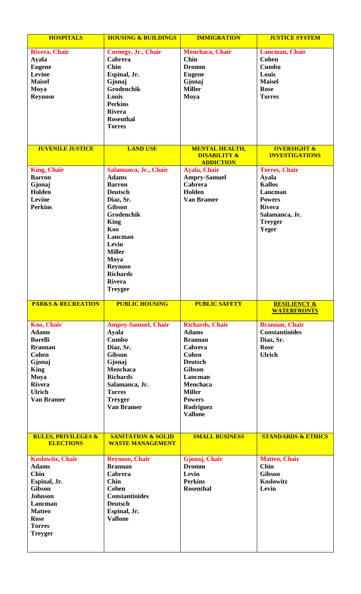| <b>HOSPITALS</b>                                   | <b>HOUSING &amp; BUILDINGS</b>                           | <b>IMMIGRATION</b>      | <b>JUSTICE SYSTEM</b>         |
|----------------------------------------------------|----------------------------------------------------------|-------------------------|-------------------------------|
| <b>Rivera, Chair</b>                               | Cornegy, Jr., Chair                                      | Menchaca, Chair         | Lancman, Chair                |
| <b>Ayala</b>                                       | <b>Cabrera</b>                                           | <b>Chin</b>             | <b>Cohen</b>                  |
| <b>Eugene</b>                                      | <b>Chin</b>                                              | <b>Dromm</b>            | <b>Cumbo</b>                  |
| Levine                                             | Espinal, Jr.                                             | <b>Eugene</b>           | Louis                         |
| <b>Maisel</b>                                      | Gjonaj                                                   | Gjonaj                  | <b>Maisel</b>                 |
| Moya                                               | Grodenchik                                               | <b>Miller</b>           | <b>Rose</b>                   |
| <b>Reynoso</b>                                     | Louis                                                    | Moya                    | <b>Torres</b>                 |
|                                                    | <b>Perkins</b>                                           |                         |                               |
|                                                    | <b>Rivera</b>                                            |                         |                               |
|                                                    | <b>Rosenthal</b>                                         |                         |                               |
|                                                    | <b>Torres</b>                                            |                         |                               |
|                                                    |                                                          |                         |                               |
|                                                    |                                                          |                         |                               |
| <b>JUVENILE JUSTICE</b>                            | <b>LAND USE</b>                                          | <b>MENTAL HEALTH,</b>   | <b>OVERSIGHT &amp;</b>        |
|                                                    |                                                          | <b>DISABILITY &amp;</b> | <b>INVESTIGATIONS</b>         |
|                                                    |                                                          | <b>ADDICTION</b>        |                               |
| <b>King, Chair</b>                                 | Salamanca, Jr., Chair                                    | <b>Ayala, Chair</b>     | <b>Torres, Chair</b>          |
| <b>Barron</b>                                      | <b>Adams</b>                                             | <b>Ampry-Samuel</b>     | <b>Ayala</b>                  |
| Gjonaj                                             | <b>Barron</b>                                            | <b>Cabrera</b>          | <b>Kallos</b>                 |
| Holden                                             | <b>Deutsch</b>                                           | Holden                  | Lancman                       |
| Levine                                             | Diaz, Sr.                                                | <b>Van Bramer</b>       | <b>Powers</b>                 |
| <b>Perkins</b>                                     | <b>Gibson</b>                                            |                         | <b>Rivera</b>                 |
|                                                    | Grodenchik                                               |                         | Salamanca, Jr.                |
|                                                    | <b>King</b>                                              |                         | <b>Treyger</b>                |
|                                                    | Koo                                                      |                         | Yeger                         |
|                                                    | Lancman                                                  |                         |                               |
|                                                    | Levin                                                    |                         |                               |
|                                                    | <b>Miller</b>                                            |                         |                               |
|                                                    | Moya                                                     |                         |                               |
|                                                    | <b>Reynoso</b>                                           |                         |                               |
|                                                    | <b>Richards</b>                                          |                         |                               |
|                                                    | <b>Rivera</b>                                            |                         |                               |
|                                                    | <b>Treyger</b>                                           |                         |                               |
|                                                    |                                                          |                         |                               |
| <b>PARKS &amp; RECREATION</b>                      | <b>PUBLIC HOUSING</b>                                    | <b>PUBLIC SAFETY</b>    | <b>RESILIENCY &amp;</b>       |
|                                                    |                                                          |                         | <b>WATERFRONTS</b>            |
| Koo, Chair                                         | <b>Ampry-Samuel, Chair</b>                               | <b>Richards, Chair</b>  | <b>Brannan, Chair</b>         |
| <b>Adams</b>                                       | <b>Ayala</b>                                             | <b>Adams</b>            | <b>Constantinides</b>         |
| <b>Borelli</b>                                     | <b>Cumbo</b>                                             | <b>Brannan</b>          | Diaz, Sr.                     |
| <b>Brannan</b>                                     | Diaz, Sr.                                                | Cabrera                 | <b>Rose</b>                   |
| <b>Cohen</b>                                       | <b>Gibson</b>                                            | <b>Cohen</b>            | <b>Ulrich</b>                 |
| Gjonaj                                             | Gjonaj                                                   | <b>Deutsch</b>          |                               |
| <b>King</b>                                        | <b>Menchaca</b>                                          | <b>Gibson</b>           |                               |
| Moya                                               | <b>Richards</b>                                          | Lancman                 |                               |
| <b>Rivera</b>                                      | Salamanca, Jr.                                           | Menchaca                |                               |
| <b>Ulrich</b>                                      | <b>Torres</b>                                            | <b>Miller</b>           |                               |
| <b>Van Bramer</b>                                  | <b>Treyger</b>                                           | <b>Powers</b>           |                               |
|                                                    | <b>Van Bramer</b>                                        | Rodriguez               |                               |
|                                                    |                                                          | <b>Vallone</b>          |                               |
|                                                    |                                                          |                         |                               |
|                                                    |                                                          |                         |                               |
| <b>RULES, PRIVILEGES &amp;</b><br><b>ELECTIONS</b> | <b>SANITATION &amp; SOLID</b><br><b>WASTE MANAGEMENT</b> | <b>SMALL BUSINESS</b>   | <b>STANDARDS &amp; ETHICS</b> |
|                                                    |                                                          |                         |                               |
| <b>Koslowitz, Chair</b>                            | <b>Reynoso, Chair</b>                                    | Gjonaj, Chair           | <b>Matteo, Chair</b>          |
| <b>Adams</b>                                       | <b>Brannan</b>                                           | <b>Dromm</b>            | <b>Chin</b>                   |
| <b>Chin</b>                                        | Cabrera                                                  | Levin                   | <b>Gibson</b>                 |
| Espinal, Jr.                                       | <b>Chin</b>                                              | <b>Perkins</b>          | Koslowitz                     |
| <b>Gibson</b>                                      | <b>Cohen</b>                                             | <b>Rosenthal</b>        | Levin                         |
| <b>Johnson</b>                                     | <b>Constantinides</b>                                    |                         |                               |
| Lancman                                            | <b>Deutsch</b>                                           |                         |                               |
| <b>Matteo</b>                                      | Espinal, Jr.                                             |                         |                               |
| <b>Rose</b>                                        | <b>Vallone</b>                                           |                         |                               |
| <b>Torres</b>                                      |                                                          |                         |                               |
| <b>Treyger</b>                                     |                                                          |                         |                               |
|                                                    |                                                          |                         |                               |